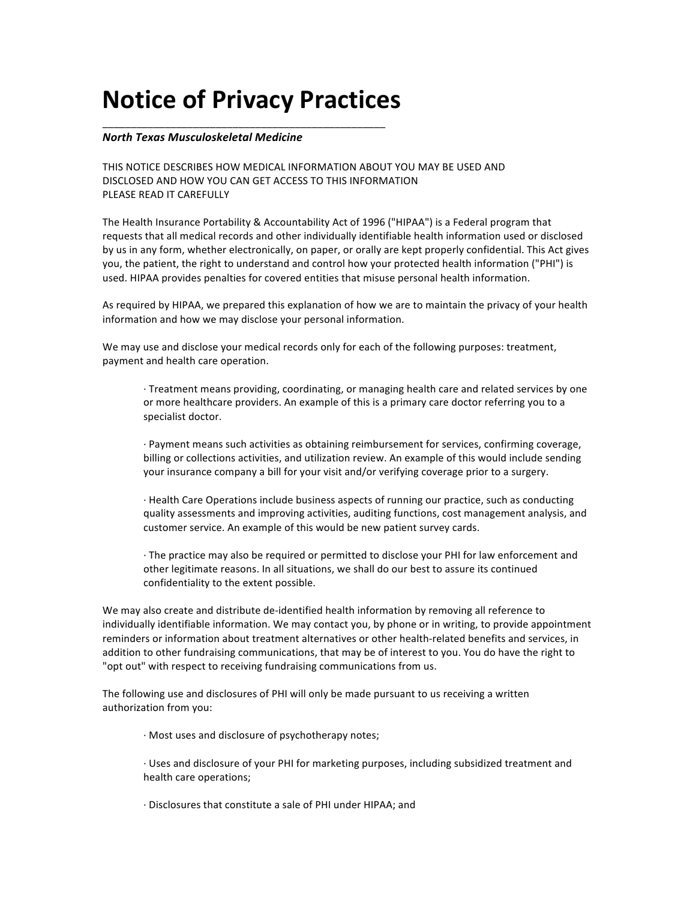## **Notice of Privacy Practices**

\_\_\_\_\_\_\_\_\_\_\_\_\_\_\_\_\_\_\_\_\_\_\_\_\_\_\_\_\_\_\_\_\_\_\_\_\_\_\_\_\_\_\_\_\_\_\_\_\_\_

## *North&Texas&Musculoskeletal&Medicine*

THIS NOTICE DESCRIBES HOW MEDICAL INFORMATION ABOUT YOU MAY BE USED AND DISCLOSED AND HOW YOU CAN GET ACCESS TO THIS INFORMATION PLEASE READ IT CAREFULLY

The Health Insurance Portability & Accountability Act of 1996 ("HIPAA") is a Federal program that requests that all medical records and other individually identifiable health information used or disclosed by us in any form, whether electronically, on paper, or orally are kept properly confidential. This Act gives you, the patient, the right to understand and control how your protected health information ("PHI") is used. HIPAA provides penalties for covered entities that misuse personal health information.

As required by HIPAA, we prepared this explanation of how we are to maintain the privacy of your health information and how we may disclose your personal information.

We may use and disclose your medical records only for each of the following purposes: treatment, payment and health care operation.

 $\cdot$  Treatment means providing, coordinating, or managing health care and related services by one or more healthcare providers. An example of this is a primary care doctor referring you to a specialist doctor.

· Payment means such activities as obtaining reimbursement for services, confirming coverage, billing or collections activities, and utilization review. An example of this would include sending your insurance company a bill for your visit and/or verifying coverage prior to a surgery.

· Health Care Operations include business aspects of running our practice, such as conducting quality assessments and improving activities, auditing functions, cost management analysis, and customer service. An example of this would be new patient survey cards.

· The practice may also be required or permitted to disclose your PHI for law enforcement and other legitimate reasons. In all situations, we shall do our best to assure its continued confidentiality to the extent possible.

We may also create and distribute de-identified health information by removing all reference to individually identifiable information. We may contact you, by phone or in writing, to provide appointment reminders or information about treatment alternatives or other health-related benefits and services, in addition to other fundraising communications, that may be of interest to you. You do have the right to "opt out" with respect to receiving fundraising communications from us.

The following use and disclosures of PHI will only be made pursuant to us receiving a written authorization from you:

· Most uses and disclosure of psychotherapy notes;

· Uses and disclosure of your PHI for marketing purposes, including subsidized treatment and health care operations:

· Disclosures that constitute a sale of PHI under HIPAA; and